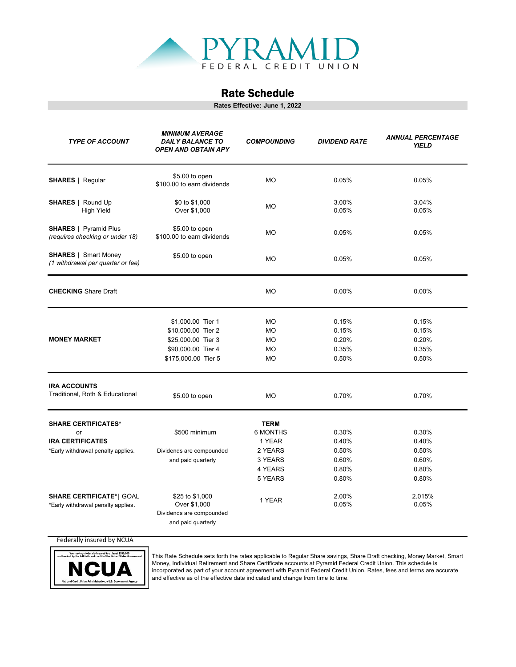

## Rate Schedule

**Rates Effective: June 1, 2022**

| <b>TYPE OF ACCOUNT</b>                                                 | <b>MINIMUM AVERAGE</b><br><b>DAILY BALANCE TO</b><br><b>OPEN AND OBTAIN APY</b>   | <b>COMPOUNDING</b> | <b>DIVIDEND RATE</b> | <b>ANNUAL PERCENTAGE</b><br><b>YIELD</b> |
|------------------------------------------------------------------------|-----------------------------------------------------------------------------------|--------------------|----------------------|------------------------------------------|
| <b>SHARES</b>   Regular                                                | \$5.00 to open<br>\$100.00 to earn dividends                                      | <b>MO</b>          | 0.05%                | 0.05%                                    |
| <b>SHARES</b>   Round Up<br><b>High Yield</b>                          | \$0 to \$1,000<br>Over \$1,000                                                    | <b>MO</b>          | 3.00%<br>0.05%       | 3.04%<br>0.05%                           |
| <b>SHARES</b>   Pyramid Plus<br>(requires checking or under 18)        | \$5.00 to open<br>\$100.00 to earn dividends                                      | <b>MO</b>          | 0.05%                | 0.05%                                    |
| <b>SHARES</b>   Smart Money<br>(1 withdrawal per quarter or fee)       | \$5.00 to open                                                                    | <b>MO</b>          | 0.05%                | 0.05%                                    |
| <b>CHECKING Share Draft</b>                                            |                                                                                   | <b>MO</b>          | 0.00%                | 0.00%                                    |
|                                                                        | \$1,000.00 Tier 1                                                                 | МO                 | 0.15%                | 0.15%                                    |
|                                                                        | \$10,000.00 Tier 2                                                                | МO                 | 0.15%                | 0.15%                                    |
| <b>MONEY MARKET</b>                                                    | \$25,000.00 Tier 3                                                                | <b>MO</b>          | 0.20%                | 0.20%                                    |
|                                                                        | \$90,000.00 Tier 4                                                                | <b>MO</b>          | 0.35%                | 0.35%                                    |
|                                                                        | \$175,000.00 Tier 5                                                               | <b>MO</b>          | 0.50%                | 0.50%                                    |
| <b>IRA ACCOUNTS</b><br>Traditional, Roth & Educational                 | \$5.00 to open                                                                    | <b>MO</b>          | 0.70%                | 0.70%                                    |
| <b>SHARE CERTIFICATES*</b>                                             |                                                                                   | <b>TERM</b>        |                      |                                          |
| or                                                                     | \$500 minimum                                                                     | <b>6 MONTHS</b>    | 0.30%                | 0.30%                                    |
| <b>IRA CERTIFICATES</b>                                                |                                                                                   | 1 YEAR             | 0.40%                | 0.40%                                    |
| *Early withdrawal penalty applies.                                     | Dividends are compounded                                                          | 2 YEARS            | 0.50%                | 0.50%                                    |
|                                                                        | and paid quarterly                                                                | 3 YEARS            | 0.60%                | 0.60%                                    |
|                                                                        |                                                                                   | 4 YEARS            | 0.80%                | 0.80%                                    |
|                                                                        |                                                                                   | 5 YEARS            | 0.80%                | 0.80%                                    |
| <b>SHARE CERTIFICATE*</b>   GOAL<br>*Early withdrawal penalty applies. | \$25 to \$1,000<br>Over \$1,000<br>Dividends are compounded<br>and paid quarterly | 1 YEAR             | 2.00%<br>0.05%       | 2.015%<br>0.05%                          |

Federally insured by NCUA



This Rate Schedule sets forth the rates applicable to Regular Share savings, Share Draft checking, Money Market, Smart Money, Individual Retirement and Share Certificate accounts at Pyramid Federal Credit Union. This schedule is incorporated as part of your account agreement with Pyramid Federal Credit Union. Rates, fees and terms are accurate and effective as of the effective date indicated and change from time to time.